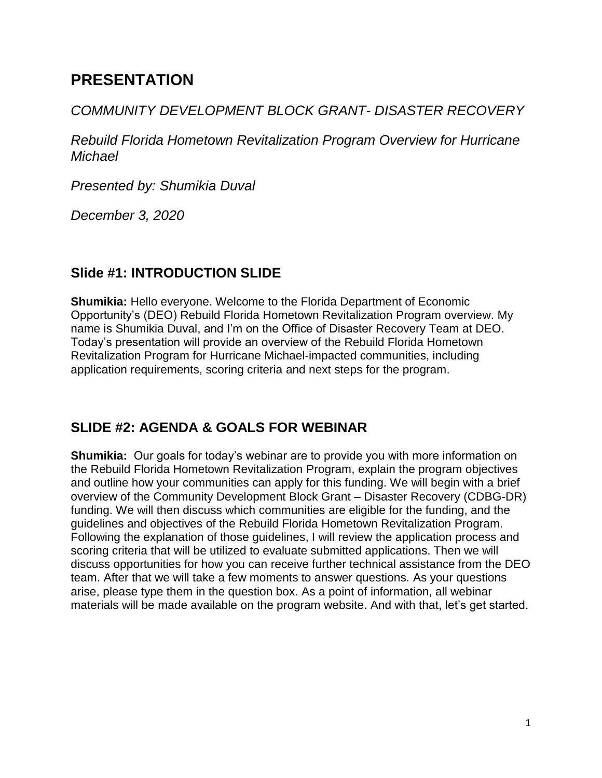# **PRESENTATION**

## *COMMUNITY DEVELOPMENT BLOCK GRANT- DISASTER RECOVERY*

*Rebuild Florida Hometown Revitalization Program Overview for Hurricane Michael*

*Presented by: Shumikia Duval*

*December 3, 2020*

# **Slide #1: INTRODUCTION SLIDE**

**Shumikia:** Hello everyone. Welcome to the Florida Department of Economic Opportunity's (DEO) Rebuild Florida Hometown Revitalization Program overview. My name is Shumikia Duval, and I'm on the Office of Disaster Recovery Team at DEO. Today's presentation will provide an overview of the Rebuild Florida Hometown Revitalization Program for Hurricane Michael-impacted communities, including application requirements, scoring criteria and next steps for the program.

# **SLIDE #2: AGENDA & GOALS FOR WEBINAR**

**Shumikia:** Our goals for today's webinar are to provide you with more information on the Rebuild Florida Hometown Revitalization Program, explain the program objectives and outline how your communities can apply for this funding. We will begin with a brief overview of the Community Development Block Grant – Disaster Recovery (CDBG-DR) funding. We will then discuss which communities are eligible for the funding, and the guidelines and objectives of the Rebuild Florida Hometown Revitalization Program. Following the explanation of those guidelines, I will review the application process and scoring criteria that will be utilized to evaluate submitted applications. Then we will discuss opportunities for how you can receive further technical assistance from the DEO team. After that we will take a few moments to answer questions. As your questions arise, please type them in the question box. As a point of information, all webinar materials will be made available on the program website. And with that, let's get started.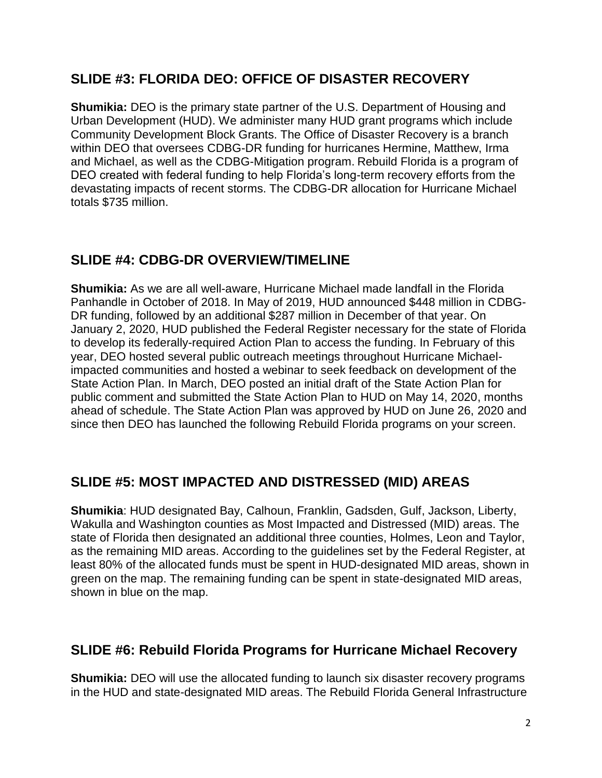### **SLIDE #3: FLORIDA DEO: OFFICE OF DISASTER RECOVERY**

**Shumikia:** DEO is the primary state partner of the U.S. Department of Housing and Urban Development (HUD). We administer many HUD grant programs which include Community Development Block Grants. The Office of Disaster Recovery is a branch within DEO that oversees CDBG-DR funding for hurricanes Hermine, Matthew, Irma and Michael, as well as the CDBG-Mitigation program. Rebuild Florida is a program of DEO created with federal funding to help Florida's long-term recovery efforts from the devastating impacts of recent storms. The CDBG-DR allocation for Hurricane Michael totals \$735 million.

# **SLIDE #4: CDBG-DR OVERVIEW/TIMELINE**

**Shumikia:** As we are all well-aware, Hurricane Michael made landfall in the Florida Panhandle in October of 2018. In May of 2019, HUD announced \$448 million in CDBG-DR funding, followed by an additional \$287 million in December of that year. On January 2, 2020, HUD published the Federal Register necessary for the state of Florida to develop its federally-required Action Plan to access the funding. In February of this year, DEO hosted several public outreach meetings throughout Hurricane Michaelimpacted communities and hosted a webinar to seek feedback on development of the State Action Plan. In March, DEO posted an initial draft of the State Action Plan for public comment and submitted the State Action Plan to HUD on May 14, 2020, months ahead of schedule. The State Action Plan was approved by HUD on June 26, 2020 and since then DEO has launched the following Rebuild Florida programs on your screen.

# **SLIDE #5: MOST IMPACTED AND DISTRESSED (MID) AREAS**

**Shumikia**: HUD designated Bay, Calhoun, Franklin, Gadsden, Gulf, Jackson, Liberty, Wakulla and Washington counties as Most Impacted and Distressed (MID) areas. The state of Florida then designated an additional three counties, Holmes, Leon and Taylor, as the remaining MID areas. According to the guidelines set by the Federal Register, at least 80% of the allocated funds must be spent in HUD-designated MID areas, shown in green on the map. The remaining funding can be spent in state-designated MID areas, shown in blue on the map.

#### **SLIDE #6: Rebuild Florida Programs for Hurricane Michael Recovery**

**Shumikia:** DEO will use the allocated funding to launch six disaster recovery programs in the HUD and state-designated MID areas. The Rebuild Florida General Infrastructure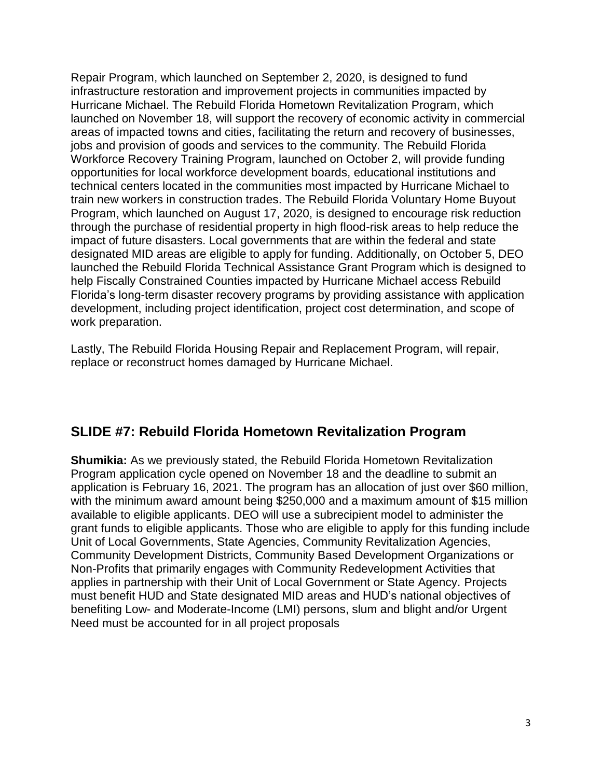Repair Program, which launched on September 2, 2020, is designed to fund infrastructure restoration and improvement projects in communities impacted by Hurricane Michael. The Rebuild Florida Hometown Revitalization Program, which launched on November 18, will support the recovery of economic activity in commercial areas of impacted towns and cities, facilitating the return and recovery of businesses, jobs and provision of goods and services to the community. The Rebuild Florida Workforce Recovery Training Program, launched on October 2, will provide funding opportunities for local workforce development boards, educational institutions and technical centers located in the communities most impacted by Hurricane Michael to train new workers in construction trades. The Rebuild Florida Voluntary Home Buyout Program, which launched on August 17, 2020, is designed to encourage risk reduction through the purchase of residential property in high flood-risk areas to help reduce the impact of future disasters. Local governments that are within the federal and state designated MID areas are eligible to apply for funding. Additionally, on October 5, DEO launched the Rebuild Florida Technical Assistance Grant Program which is designed to help Fiscally Constrained Counties impacted by Hurricane Michael access Rebuild Florida's long-term disaster recovery programs by providing assistance with application development, including project identification, project cost determination, and scope of work preparation.

Lastly, The Rebuild Florida Housing Repair and Replacement Program, will repair, replace or reconstruct homes damaged by Hurricane Michael.

#### **SLIDE #7: Rebuild Florida Hometown Revitalization Program**

**Shumikia:** As we previously stated, the Rebuild Florida Hometown Revitalization Program application cycle opened on November 18 and the deadline to submit an application is February 16, 2021. The program has an allocation of just over \$60 million, with the minimum award amount being \$250,000 and a maximum amount of \$15 million available to eligible applicants. DEO will use a subrecipient model to administer the grant funds to eligible applicants. Those who are eligible to apply for this funding include Unit of Local Governments, State Agencies, Community Revitalization Agencies, Community Development Districts, Community Based Development Organizations or Non-Profits that primarily engages with Community Redevelopment Activities that applies in partnership with their Unit of Local Government or State Agency. Projects must benefit HUD and State designated MID areas and HUD's national objectives of benefiting Low- and Moderate-Income (LMI) persons, slum and blight and/or Urgent Need must be accounted for in all project proposals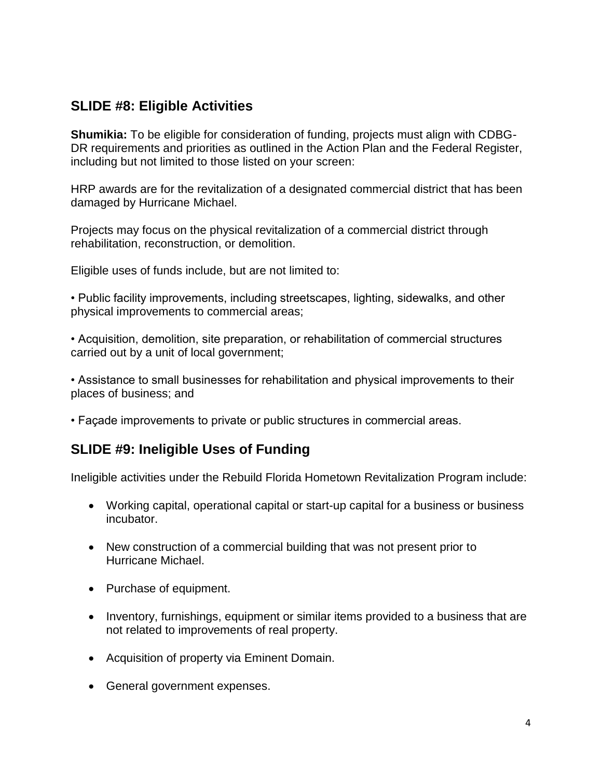## **SLIDE #8: Eligible Activities**

**Shumikia:** To be eligible for consideration of funding, projects must align with CDBG-DR requirements and priorities as outlined in the Action Plan and the Federal Register, including but not limited to those listed on your screen:

HRP awards are for the revitalization of a designated commercial district that has been damaged by Hurricane Michael.

Projects may focus on the physical revitalization of a commercial district through rehabilitation, reconstruction, or demolition.

Eligible uses of funds include, but are not limited to:

• Public facility improvements, including streetscapes, lighting, sidewalks, and other physical improvements to commercial areas;

• Acquisition, demolition, site preparation, or rehabilitation of commercial structures carried out by a unit of local government;

• Assistance to small businesses for rehabilitation and physical improvements to their places of business; and

• Façade improvements to private or public structures in commercial areas.

#### **SLIDE #9: Ineligible Uses of Funding**

Ineligible activities under the Rebuild Florida Hometown Revitalization Program include:

- Working capital, operational capital or start-up capital for a business or business incubator.
- New construction of a commercial building that was not present prior to Hurricane Michael.
- Purchase of equipment.
- Inventory, furnishings, equipment or similar items provided to a business that are not related to improvements of real property.
- Acquisition of property via Eminent Domain.
- General government expenses.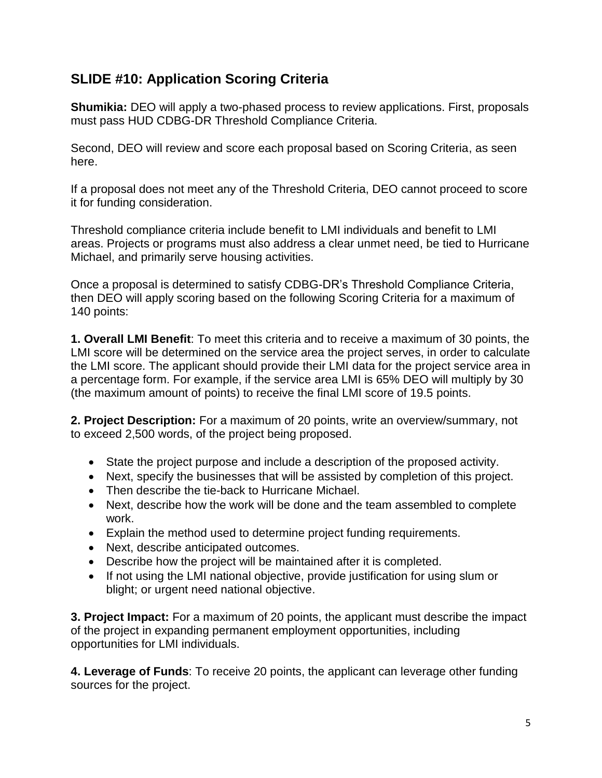# **SLIDE #10: Application Scoring Criteria**

**Shumikia:** DEO will apply a two-phased process to review applications. First, proposals must pass HUD CDBG-DR Threshold Compliance Criteria.

Second, DEO will review and score each proposal based on Scoring Criteria, as seen here.

If a proposal does not meet any of the Threshold Criteria, DEO cannot proceed to score it for funding consideration.

Threshold compliance criteria include benefit to LMI individuals and benefit to LMI areas. Projects or programs must also address a clear unmet need, be tied to Hurricane Michael, and primarily serve housing activities.

Once a proposal is determined to satisfy CDBG-DR's Threshold Compliance Criteria, then DEO will apply scoring based on the following Scoring Criteria for a maximum of 140 points:

**1. Overall LMI Benefit**: To meet this criteria and to receive a maximum of 30 points, the LMI score will be determined on the service area the project serves, in order to calculate the LMI score. The applicant should provide their LMI data for the project service area in a percentage form. For example, if the service area LMI is 65% DEO will multiply by 30 (the maximum amount of points) to receive the final LMI score of 19.5 points.

**2. Project Description:** For a maximum of 20 points, write an overview/summary, not to exceed 2,500 words, of the project being proposed.

- State the project purpose and include a description of the proposed activity.
- Next, specify the businesses that will be assisted by completion of this project.
- Then describe the tie-back to Hurricane Michael.
- Next, describe how the work will be done and the team assembled to complete work.
- Explain the method used to determine project funding requirements.
- Next, describe anticipated outcomes.
- Describe how the project will be maintained after it is completed.
- If not using the LMI national objective, provide justification for using slum or blight; or urgent need national objective.

**3. Project Impact:** For a maximum of 20 points, the applicant must describe the impact of the project in expanding permanent employment opportunities, including opportunities for LMI individuals.

**4. Leverage of Funds**: To receive 20 points, the applicant can leverage other funding sources for the project.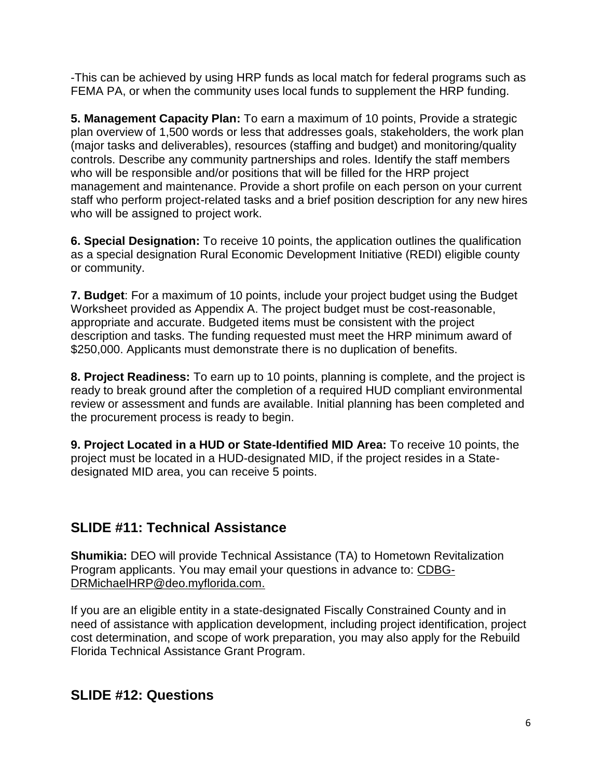-This can be achieved by using HRP funds as local match for federal programs such as FEMA PA, or when the community uses local funds to supplement the HRP funding.

**5. Management Capacity Plan:** To earn a maximum of 10 points, Provide a strategic plan overview of 1,500 words or less that addresses goals, stakeholders, the work plan (major tasks and deliverables), resources (staffing and budget) and monitoring/quality controls. Describe any community partnerships and roles. Identify the staff members who will be responsible and/or positions that will be filled for the HRP project management and maintenance. Provide a short profile on each person on your current staff who perform project-related tasks and a brief position description for any new hires who will be assigned to project work.

**6. Special Designation:** To receive 10 points, the application outlines the qualification as a special designation Rural Economic Development Initiative (REDI) eligible county or community.

**7. Budget**: For a maximum of 10 points, include your project budget using the Budget Worksheet provided as Appendix A. The project budget must be cost-reasonable, appropriate and accurate. Budgeted items must be consistent with the project description and tasks. The funding requested must meet the HRP minimum award of \$250,000. Applicants must demonstrate there is no duplication of benefits.

**8. Project Readiness:** To earn up to 10 points, planning is complete, and the project is ready to break ground after the completion of a required HUD compliant environmental review or assessment and funds are available. Initial planning has been completed and the procurement process is ready to begin.

**9. Project Located in a HUD or State-Identified MID Area:** To receive 10 points, the project must be located in a HUD-designated MID, if the project resides in a Statedesignated MID area, you can receive 5 points.

# **SLIDE #11: Technical Assistance**

**Shumikia:** DEO will provide Technical Assistance (TA) to Hometown Revitalization Program applicants. You may email your questions in advance to: [CDBG-](mailto:CDBG-DRMichaelHRP@deo.myflorida.com)[DRMichaelHRP@deo.myflorida.com.](mailto:CDBG-DRMichaelHRP@deo.myflorida.com)

If you are an eligible entity in a state-designated Fiscally Constrained County and in need of assistance with application development, including project identification, project cost determination, and scope of work preparation, you may also apply for the Rebuild Florida Technical Assistance Grant Program.

#### **SLIDE #12: Questions**